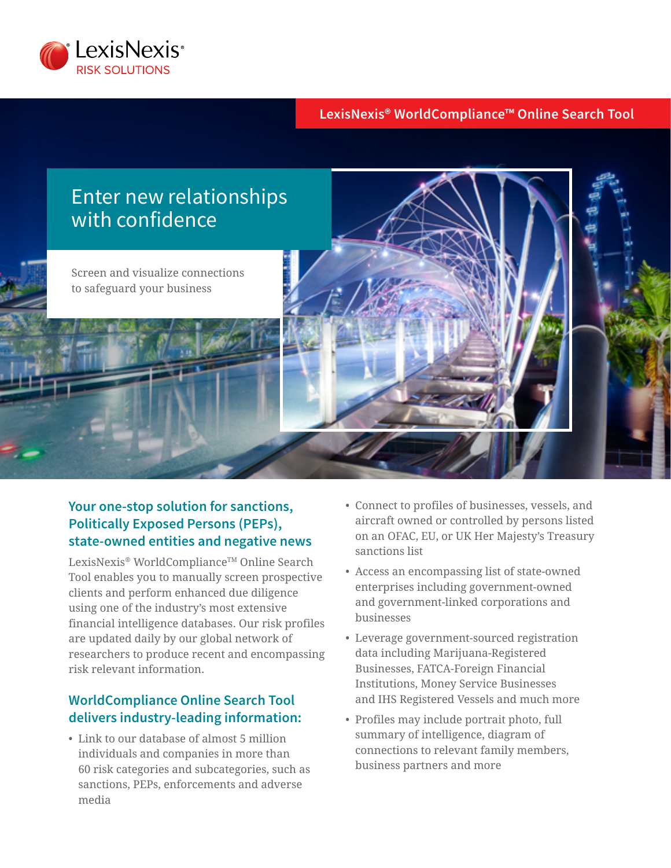

## **LexisNexis® WorldCompliance™ Online Search Tool**



# **Your one-stop solution for sanctions, Politically Exposed Persons (PEPs), state-owned entities and negative news**

LexisNexis® WorldCompliance™ Online Search Tool enables you to manually screen prospective clients and perform enhanced due diligence using one of the industry's most extensive financial intelligence databases. Our risk profiles are updated daily by our global network of researchers to produce recent and encompassing risk relevant information.

# **WorldCompliance Online Search Tool delivers industry-leading information:**

• Link to our database of almost 5 million individuals and companies in more than 60 risk categories and subcategories, such as sanctions, PEPs, enforcements and adverse media

- Connect to profiles of businesses, vessels, and aircraft owned or controlled by persons listed on an OFAC, EU, or UK Her Majesty's Treasury sanctions list
- Access an encompassing list of state-owned enterprises including government-owned and government-linked corporations and businesses
- Leverage government-sourced registration data including Marijuana-Registered Businesses, FATCA-Foreign Financial Institutions, Money Service Businesses and IHS Registered Vessels and much more
- Profiles may include portrait photo, full summary of intelligence, diagram of connections to relevant family members, business partners and more